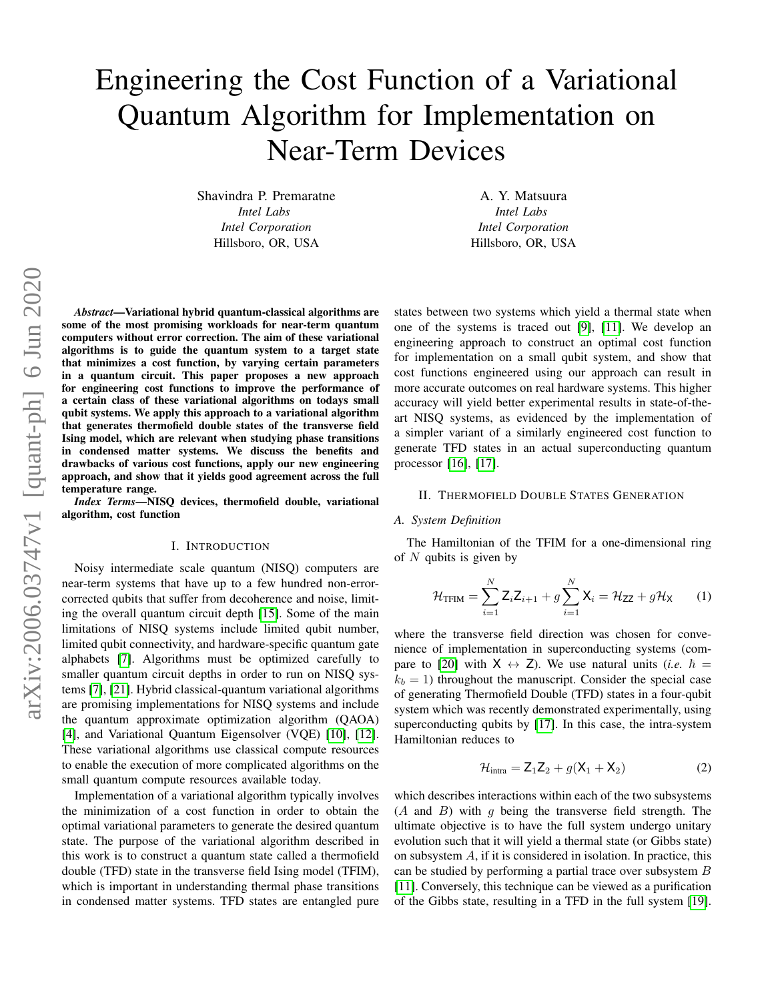# Engineering the Cost Function of a Variational Quantum Algorithm for Implementation on Near-Term Devices

Shavindra P. Premaratne *Intel Labs Intel Corporation* Hillsboro, OR, USA

A. Y. Matsuura *Intel Labs Intel Corporation* Hillsboro, OR, USA

*Abstract*—Variational hybrid quantum-classical algorithms are some of the most promising workloads for near-term quantum computers without error correction. The aim of these variational algorithms is to guide the quantum system to a target state that minimizes a cost function, by varying certain parameters in a quantum circuit. This paper proposes a new approach for engineering cost functions to improve the performance of a certain class of these variational algorithms on todays small qubit systems. We apply this approach to a variational algorithm that generates thermofield double states of the transverse field Ising model, which are relevant when studying phase transitions in condensed matter systems. We discuss the benefits and drawbacks of various cost functions, apply our new engineering approach, and show that it yields good agreement across the full temperature range.

*Index Terms*—NISQ devices, thermofield double, variational algorithm, cost function

#### I. INTRODUCTION

Noisy intermediate scale quantum (NISQ) computers are near-term systems that have up to a few hundred non-errorcorrected qubits that suffer from decoherence and noise, limiting the overall quantum circuit depth [\[15\]](#page-5-0). Some of the main limitations of NISQ systems include limited qubit number, limited qubit connectivity, and hardware-specific quantum gate alphabets [\[7\]](#page-5-1). Algorithms must be optimized carefully to smaller quantum circuit depths in order to run on NISQ systems [\[7\]](#page-5-1), [\[21\]](#page-7-0). Hybrid classical-quantum variational algorithms are promising implementations for NISQ systems and include the quantum approximate optimization algorithm (QAOA) [\[4\]](#page-5-2), and Variational Quantum Eigensolver (VQE) [\[10\]](#page-5-3), [\[12\]](#page-5-4). These variational algorithms use classical compute resources to enable the execution of more complicated algorithms on the small quantum compute resources available today.

Implementation of a variational algorithm typically involves the minimization of a cost function in order to obtain the optimal variational parameters to generate the desired quantum state. The purpose of the variational algorithm described in this work is to construct a quantum state called a thermofield double (TFD) state in the transverse field Ising model (TFIM), which is important in understanding thermal phase transitions in condensed matter systems. TFD states are entangled pure states between two systems which yield a thermal state when one of the systems is traced out [\[9\]](#page-5-5), [\[11\]](#page-5-6). We develop an engineering approach to construct an optimal cost function for implementation on a small qubit system, and show that cost functions engineered using our approach can result in more accurate outcomes on real hardware systems. This higher accuracy will yield better experimental results in state-of-theart NISQ systems, as evidenced by the implementation of a simpler variant of a similarly engineered cost function to generate TFD states in an actual superconducting quantum processor [\[16\]](#page-5-7), [\[17\]](#page-5-8).

## <span id="page-0-1"></span>II. THERMOFIELD DOUBLE STATES GENERATION

## *A. System Definition*

The Hamiltonian of the TFIM for a one-dimensional ring of  $N$  qubits is given by

$$
\mathcal{H}_{\text{TFIM}} = \sum_{i=1}^{N} \mathbf{Z}_{i} \mathbf{Z}_{i+1} + g \sum_{i=1}^{N} \mathbf{X}_{i} = \mathcal{H}_{\text{ZZ}} + g \mathcal{H}_{\text{X}}
$$
 (1)

where the transverse field direction was chosen for convenience of implementation in superconducting systems (com-pare to [\[20\]](#page-5-9) with  $X \leftrightarrow Z$ ). We use natural units (*i.e.*  $\hbar =$  $k_b = 1$ ) throughout the manuscript. Consider the special case of generating Thermofield Double (TFD) states in a four-qubit system which was recently demonstrated experimentally, using superconducting qubits by [\[17\]](#page-5-8). In this case, the intra-system Hamiltonian reduces to

<span id="page-0-0"></span>
$$
\mathcal{H}_{\text{intra}} = Z_1 Z_2 + g(X_1 + X_2) \tag{2}
$$

which describes interactions within each of the two subsystems  $(A \text{ and } B)$  with q being the transverse field strength. The ultimate objective is to have the full system undergo unitary evolution such that it will yield a thermal state (or Gibbs state) on subsystem A, if it is considered in isolation. In practice, this can be studied by performing a partial trace over subsystem  $B$ [\[11\]](#page-5-6). Conversely, this technique can be viewed as a purification of the Gibbs state, resulting in a TFD in the full system [\[19\]](#page-5-10).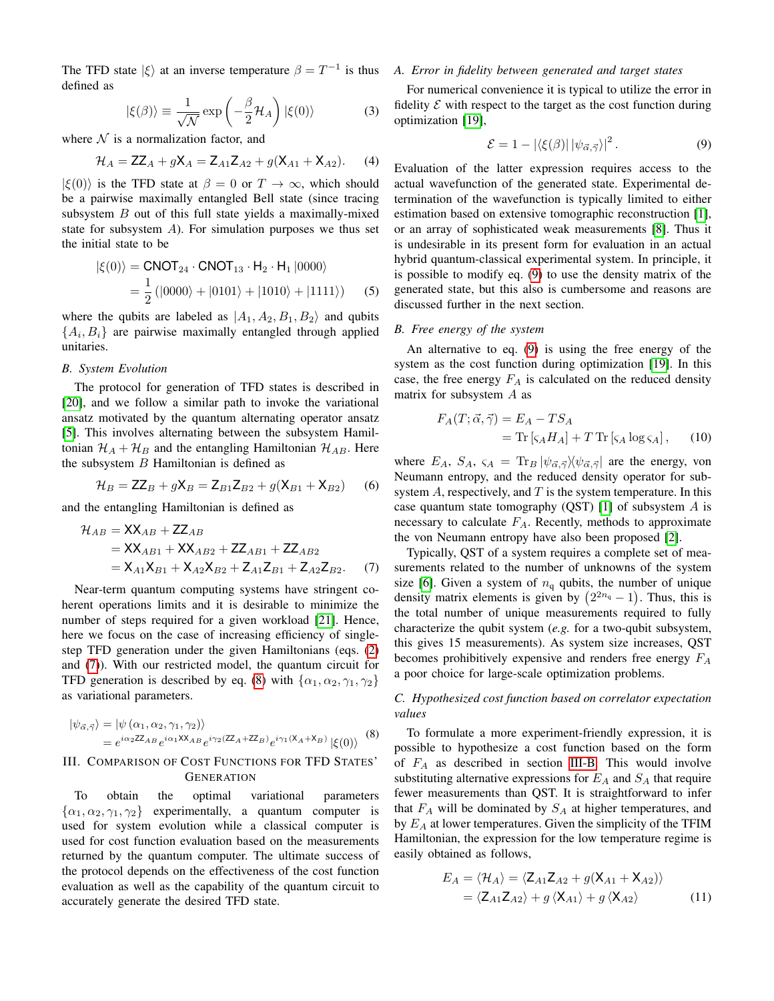The TFD state  $|\xi\rangle$  at an inverse temperature  $\beta = T^{-1}$  is thus defined as

$$
|\xi(\beta)\rangle \equiv \frac{1}{\sqrt{\mathcal{N}}} \exp\left(-\frac{\beta}{2} \mathcal{H}_A\right) |\xi(0)\rangle \tag{3}
$$

where  $N$  is a normalization factor, and

$$
\mathcal{H}_A = ZZ_A + gX_A = Z_{A1}Z_{A2} + g(X_{A1} + X_{A2}).
$$
 (4)

 $|\xi(0)\rangle$  is the TFD state at  $\beta = 0$  or  $T \to \infty$ , which should be a pairwise maximally entangled Bell state (since tracing subsystem  $B$  out of this full state yields a maximally-mixed state for subsystem A). For simulation purposes we thus set the initial state to be

$$
|\xi(0)\rangle = \text{CNOT}_{24} \cdot \text{CNOT}_{13} \cdot H_2 \cdot H_1 |0000\rangle
$$
  
=  $\frac{1}{2} (|0000\rangle + |0101\rangle + |1010\rangle + |1111\rangle)$  (5)

where the qubits are labeled as  $|A_1, A_2, B_1, B_2\rangle$  and qubits  ${A_i, B_i}$  are pairwise maximally entangled through applied unitaries.

# *B. System Evolution*

The protocol for generation of TFD states is described in [\[20\]](#page-5-9), and we follow a similar path to invoke the variational ansatz motivated by the quantum alternating operator ansatz [\[5\]](#page-5-11). This involves alternating between the subsystem Hamiltonian  $\mathcal{H}_A + \mathcal{H}_B$  and the entangling Hamiltonian  $\mathcal{H}_{AB}$ . Here the subsystem  $B$  Hamiltonian is defined as

$$
\mathcal{H}_B = \mathsf{ZZ}_B + g\mathsf{X}_B = \mathsf{Z}_{B1}\mathsf{Z}_{B2} + g(\mathsf{X}_{B1} + \mathsf{X}_{B2}) \tag{6}
$$

and the entangling Hamiltonian is defined as

$$
\mathcal{H}_{AB} = \mathbf{XX}_{AB} + \mathbf{ZZ}_{AB}
$$
  
=  $\mathbf{XX}_{AB1} + \mathbf{XX}_{AB2} + \mathbf{ZZ}_{AB1} + \mathbf{ZZ}_{AB2}$   
=  $\mathbf{X}_{A1}\mathbf{X}_{B1} + \mathbf{X}_{A2}\mathbf{X}_{B2} + \mathbf{Z}_{A1}\mathbf{Z}_{B1} + \mathbf{Z}_{A2}\mathbf{Z}_{B2}$ . (7)

Near-term quantum computing systems have stringent coherent operations limits and it is desirable to minimize the number of steps required for a given workload [\[21\]](#page-7-0). Hence, here we focus on the case of increasing efficiency of singlestep TFD generation under the given Hamiltonians (eqs. [\(2\)](#page-0-0) and [\(7\)](#page-1-0)). With our restricted model, the quantum circuit for TFD generation is described by eq. [\(8\)](#page-1-1) with  $\{\alpha_1, \alpha_2, \gamma_1, \gamma_2\}$ as variational parameters.

$$
|\psi_{\vec{\alpha},\vec{\gamma}}\rangle = |\psi(\alpha_1,\alpha_2,\gamma_1,\gamma_2)\rangle
$$
  
=  $e^{i\alpha_2 Z Z_{AB}} e^{i\alpha_1 X X_{AB}} e^{i\gamma_2 (Z Z_A + Z Z_B)} e^{i\gamma_1 (X_A + X_B)} |\xi(0)\rangle$  (8)

# III. COMPARISON OF COST FUNCTIONS FOR TFD STATES' **GENERATION**

To obtain the optimal variational parameters  $\{\alpha_1, \alpha_2, \gamma_1, \gamma_2\}$  experimentally, a quantum computer is used for system evolution while a classical computer is used for cost function evaluation based on the measurements returned by the quantum computer. The ultimate success of the protocol depends on the effectiveness of the cost function evaluation as well as the capability of the quantum circuit to accurately generate the desired TFD state.

# *A. Error in fidelity between generated and target states*

<span id="page-1-5"></span>For numerical convenience it is typical to utilize the error in fidelity  $\mathcal E$  with respect to the target as the cost function during optimization [\[19\]](#page-5-10),

<span id="page-1-2"></span>
$$
\mathcal{E} = 1 - |\langle \xi(\beta) | |\psi_{\vec{\alpha}, \vec{\gamma}} \rangle|^2. \tag{9}
$$

Evaluation of the latter expression requires access to the actual wavefunction of the generated state. Experimental determination of the wavefunction is typically limited to either estimation based on extensive tomographic reconstruction [\[1\]](#page-5-12), or an array of sophisticated weak measurements [\[8\]](#page-5-13). Thus it is undesirable in its present form for evaluation in an actual hybrid quantum-classical experimental system. In principle, it is possible to modify eq. [\(9\)](#page-1-2) to use the density matrix of the generated state, but this also is cumbersome and reasons are discussed further in the next section.

#### <span id="page-1-4"></span><span id="page-1-3"></span>*B. Free energy of the system*

An alternative to eq. [\(9\)](#page-1-2) is using the free energy of the system as the cost function during optimization [\[19\]](#page-5-10). In this case, the free energy  $F_A$  is calculated on the reduced density matrix for subsystem A as

$$
F_A(T; \vec{\alpha}, \vec{\gamma}) = E_A - TS_A
$$
  
= Tr  $\left[ \varsigma_A H_A \right] + T \operatorname{Tr} \left[ \varsigma_A \log \varsigma_A \right],$  (10)

where  $E_A$ ,  $S_A$ ,  $\varsigma_A = \text{Tr}_B |\psi_{\vec{\alpha},\vec{\gamma}}| \langle \psi_{\vec{\alpha},\vec{\gamma}}|$  are the energy, von Neumann entropy, and the reduced density operator for subsystem  $A$ , respectively, and  $T$  is the system temperature. In this case quantum state tomography (QST) [\[1\]](#page-5-12) of subsystem  $A$  is necessary to calculate  $F_A$ . Recently, methods to approximate the von Neumann entropy have also been proposed [\[2\]](#page-5-14).

<span id="page-1-0"></span>Typically, QST of a system requires a complete set of measurements related to the number of unknowns of the system size [\[6\]](#page-5-15). Given a system of  $n_q$  qubits, the number of unique density matrix elements is given by  $(2^{2n_q}-1)$ . Thus, this is the total number of unique measurements required to fully characterize the qubit system (*e.g.* for a two-qubit subsystem, this gives 15 measurements). As system size increases, QST becomes prohibitively expensive and renders free energy  $F_A$ a poor choice for large-scale optimization problems.

*C. Hypothesized cost function based on correlator expectation values*

<span id="page-1-1"></span>To formulate a more experiment-friendly expression, it is possible to hypothesize a cost function based on the form of  $F_A$  as described in section [III-B.](#page-1-3) This would involve substituting alternative expressions for  $E_A$  and  $S_A$  that require fewer measurements than QST. It is straightforward to infer that  $F_A$  will be dominated by  $S_A$  at higher temperatures, and by  $E_A$  at lower temperatures. Given the simplicity of the TFIM Hamiltonian, the expression for the low temperature regime is easily obtained as follows,

$$
E_A = \langle \mathcal{H}_A \rangle = \langle Z_{A1}Z_{A2} + g(X_{A1} + X_{A2}) \rangle
$$
  
=  $\langle Z_{A1}Z_{A2} \rangle + g \langle X_{A1} \rangle + g \langle X_{A2} \rangle$  (11)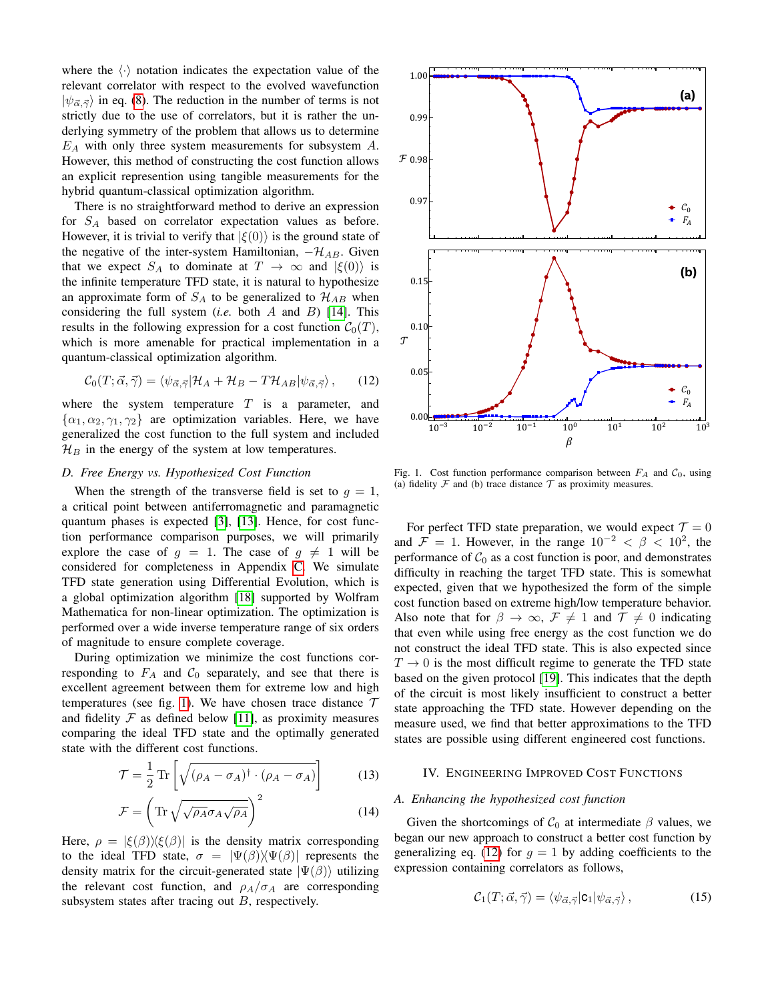where the  $\langle \cdot \rangle$  notation indicates the expectation value of the relevant correlator with respect to the evolved wavefunction  $|\psi_{\vec{\alpha},\vec{\gamma}}\rangle$  in eq. [\(8\)](#page-1-1). The reduction in the number of terms is not strictly due to the use of correlators, but it is rather the underlying symmetry of the problem that allows us to determine  $E_A$  with only three system measurements for subsystem A. However, this method of constructing the cost function allows an explicit represention using tangible measurements for the hybrid quantum-classical optimization algorithm.

There is no straightforward method to derive an expression for  $S_A$  based on correlator expectation values as before. However, it is trivial to verify that  $|\xi(0)\rangle$  is the ground state of the negative of the inter-system Hamiltonian,  $-\mathcal{H}_{AB}$ . Given that we expect  $S_A$  to dominate at  $T \to \infty$  and  $|\xi(0)\rangle$  is the infinite temperature TFD state, it is natural to hypothesize an approximate form of  $S_A$  to be generalized to  $\mathcal{H}_{AB}$  when considering the full system (*i.e.* both A and B) [\[14\]](#page-5-16). This results in the following expression for a cost function  $C_0(T)$ , which is more amenable for practical implementation in a quantum-classical optimization algorithm.

$$
\mathcal{C}_0(T; \vec{\alpha}, \vec{\gamma}) = \langle \psi_{\vec{\alpha}, \vec{\gamma}} | \mathcal{H}_A + \mathcal{H}_B - T \mathcal{H}_{AB} | \psi_{\vec{\alpha}, \vec{\gamma}} \rangle, \qquad (12)
$$

where the system temperature  $T$  is a parameter, and  $\{\alpha_1, \alpha_2, \gamma_1, \gamma_2\}$  are optimization variables. Here, we have generalized the cost function to the full system and included  $\mathcal{H}_B$  in the energy of the system at low temperatures.

## <span id="page-2-2"></span>*D. Free Energy vs. Hypothesized Cost Function*

When the strength of the transverse field is set to  $q = 1$ , a critical point between antiferromagnetic and paramagnetic quantum phases is expected [\[3\]](#page-5-17), [\[13\]](#page-5-18). Hence, for cost function performance comparison purposes, we will primarily explore the case of  $g = 1$ . The case of  $g \neq 1$  will be considered for completeness in Appendix [C.](#page-5-19) We simulate TFD state generation using Differential Evolution, which is a global optimization algorithm [\[18\]](#page-5-20) supported by Wolfram Mathematica for non-linear optimization. The optimization is performed over a wide inverse temperature range of six orders of magnitude to ensure complete coverage.

During optimization we minimize the cost functions corresponding to  $F_A$  and  $C_0$  separately, and see that there is excellent agreement between them for extreme low and high temperatures (see fig. [1\)](#page-2-0). We have chosen trace distance  $\tau$ and fidelity  $\mathcal F$  as defined below [\[11\]](#page-5-6), as proximity measures comparing the ideal TFD state and the optimally generated state with the different cost functions.

$$
\mathcal{T} = \frac{1}{2} \operatorname{Tr} \left[ \sqrt{(\rho_A - \sigma_A)^{\dagger} \cdot (\rho_A - \sigma_A)} \right] \tag{13}
$$

$$
\mathcal{F} = \left( \text{Tr} \sqrt{\sqrt{\rho_A} \sigma_A \sqrt{\rho_A}} \right)^2 \tag{14}
$$

Here,  $\rho = |\xi(\beta)\rangle\langle\xi(\beta)|$  is the density matrix corresponding to the ideal TFD state,  $\sigma = |\Psi(\beta)\rangle\langle\Psi(\beta)|$  represents the density matrix for the circuit-generated state  $|\Psi(\beta)\rangle$  utilizing the relevant cost function, and  $\rho_A/\sigma_A$  are corresponding subsystem states after tracing out  $B$ , respectively.



<span id="page-2-1"></span><span id="page-2-0"></span>Fig. 1. Cost function performance comparison between  $F_A$  and  $C_0$ , using (a) fidelity  $\mathcal F$  and (b) trace distance  $\mathcal T$  as proximity measures.

For perfect TFD state preparation, we would expect  $\mathcal{T} = 0$ and  $\mathcal{F} = 1$ . However, in the range  $10^{-2} < \beta < 10^2$ , the performance of  $C_0$  as a cost function is poor, and demonstrates difficulty in reaching the target TFD state. This is somewhat expected, given that we hypothesized the form of the simple cost function based on extreme high/low temperature behavior. Also note that for  $\beta \to \infty$ ,  $\mathcal{F} \neq 1$  and  $\mathcal{T} \neq 0$  indicating that even while using free energy as the cost function we do not construct the ideal TFD state. This is also expected since  $T \rightarrow 0$  is the most difficult regime to generate the TFD state based on the given protocol [\[19\]](#page-5-10). This indicates that the depth of the circuit is most likely insufficient to construct a better state approaching the TFD state. However depending on the measure used, we find that better approximations to the TFD states are possible using different engineered cost functions.

## IV. ENGINEERING IMPROVED COST FUNCTIONS

## <span id="page-2-3"></span>*A. Enhancing the hypothesized cost function*

Given the shortcomings of  $C_0$  at intermediate  $\beta$  values, we began our new approach to construct a better cost function by generalizing eq. [\(12\)](#page-2-1) for  $g = 1$  by adding coefficients to the expression containing correlators as follows,

$$
\mathcal{C}_1(T; \vec{\alpha}, \vec{\gamma}) = \langle \psi_{\vec{\alpha}, \vec{\gamma}} | \mathsf{c}_1 | \psi_{\vec{\alpha}, \vec{\gamma}} \rangle, \tag{15}
$$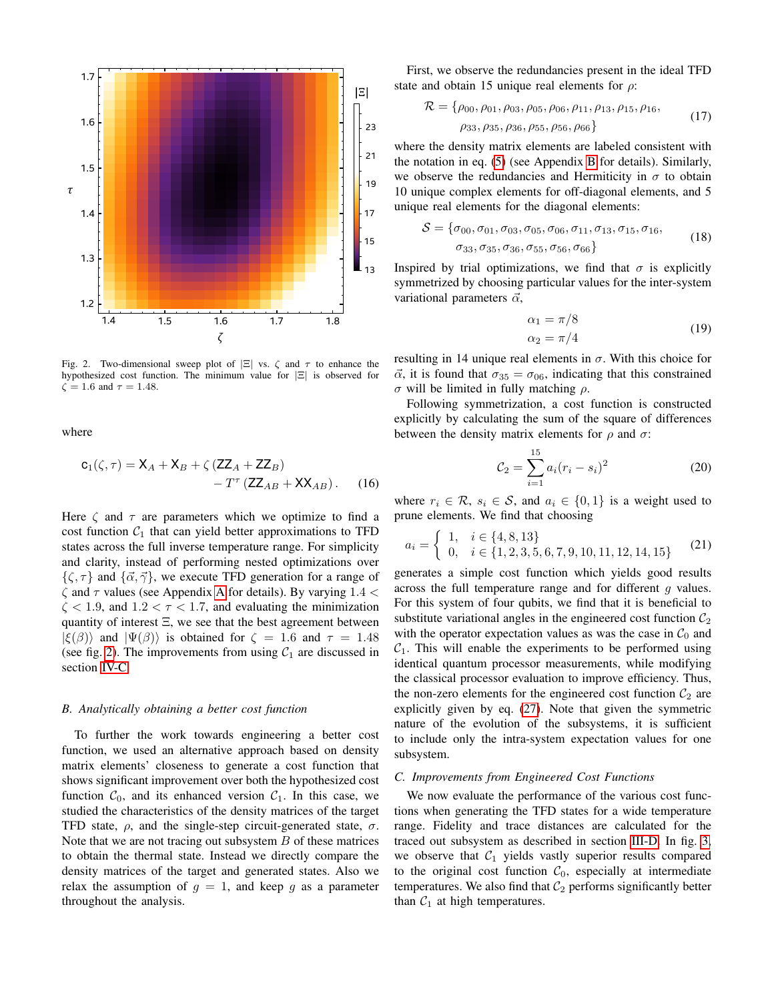

<span id="page-3-0"></span>Fig. 2. Two-dimensional sweep plot of  $|\Xi|$  vs.  $\zeta$  and  $\tau$  to enhance the hypothesized cost function. The minimum value for |Ξ| is observed for  $\zeta = 1.6$  and  $\tau = 1.48$ .

where

$$
\mathbf{c}_1(\zeta,\tau) = \mathbf{X}_A + \mathbf{X}_B + \zeta \left( \mathbf{Z} \mathbf{Z}_A + \mathbf{Z} \mathbf{Z}_B \right) - T^{\tau} \left( \mathbf{Z} \mathbf{Z}_{AB} + \mathbf{X} \mathbf{X}_{AB} \right).
$$
 (16)

Here  $\zeta$  and  $\tau$  are parameters which we optimize to find a cost function  $C_1$  that can yield better approximations to TFD states across the full inverse temperature range. For simplicity and clarity, instead of performing nested optimizations over  $\{\zeta, \tau\}$  and  $\{\vec{\alpha}, \vec{\gamma}\}\)$ , we execute TFD generation for a range of  $\zeta$  and  $\tau$  values (see [A](#page-4-0)ppendix A for details). By varying 1.4  $\lt$  $\zeta$  < 1.9, and 1.2 <  $\tau$  < 1.7, and evaluating the minimization quantity of interest  $\Xi$ , we see that the best agreement between  $|\xi(\beta)\rangle$  and  $|\Psi(\beta)\rangle$  is obtained for  $\zeta = 1.6$  and  $\tau = 1.48$ (see fig. [2\)](#page-3-0). The improvements from using  $C_1$  are discussed in section [IV-C.](#page-3-1)

# *B. Analytically obtaining a better cost function*

To further the work towards engineering a better cost function, we used an alternative approach based on density matrix elements' closeness to generate a cost function that shows significant improvement over both the hypothesized cost function  $C_0$ , and its enhanced version  $C_1$ . In this case, we studied the characteristics of the density matrices of the target TFD state,  $\rho$ , and the single-step circuit-generated state,  $\sigma$ . Note that we are not tracing out subsystem  $B$  of these matrices to obtain the thermal state. Instead we directly compare the density matrices of the target and generated states. Also we relax the assumption of  $g = 1$ , and keep g as a parameter throughout the analysis.

First, we observe the redundancies present in the ideal TFD state and obtain 15 unique real elements for  $\rho$ :

$$
\mathcal{R} = \{ \rho_{00}, \rho_{01}, \rho_{03}, \rho_{05}, \rho_{06}, \rho_{11}, \rho_{13}, \rho_{15}, \rho_{16}, \n\rho_{33}, \rho_{35}, \rho_{36}, \rho_{55}, \rho_{56}, \rho_{66} \}
$$
\n(17)

where the density matrix elements are labeled consistent with the notation in eq. [\(5\)](#page-1-4) (see Appendix [B](#page-5-21) for details). Similarly, we observe the redundancies and Hermiticity in  $\sigma$  to obtain 10 unique complex elements for off-diagonal elements, and 5 unique real elements for the diagonal elements:

$$
S = \{\sigma_{00}, \sigma_{01}, \sigma_{03}, \sigma_{05}, \sigma_{06}, \sigma_{11}, \sigma_{13}, \sigma_{15}, \sigma_{16}, \sigma_{33}, \sigma_{35}, \sigma_{36}, \sigma_{55}, \sigma_{56}, \sigma_{66}\}\
$$
\n(18)

Inspired by trial optimizations, we find that  $\sigma$  is explicitly symmetrized by choosing particular values for the inter-system variational parameters  $\vec{\alpha}$ ,

$$
\alpha_1 = \pi/8
$$
  
\n
$$
\alpha_2 = \pi/4
$$
\n(19)

resulting in 14 unique real elements in  $\sigma$ . With this choice for  $\vec{\alpha}$ , it is found that  $\sigma_{35} = \sigma_{06}$ , indicating that this constrained σ will be limited in fully matching  $ρ$ .

Following symmetrization, a cost function is constructed explicitly by calculating the sum of the square of differences between the density matrix elements for  $\rho$  and  $\sigma$ :

<span id="page-3-2"></span>
$$
\mathcal{C}_2 = \sum_{i=1}^{15} a_i (r_i - s_i)^2 \tag{20}
$$

where  $r_i \in \mathcal{R}$ ,  $s_i \in \mathcal{S}$ , and  $a_i \in \{0,1\}$  is a weight used to prune elements. We find that choosing

$$
a_i = \begin{cases} 1, & i \in \{4, 8, 13\} \\ 0, & i \in \{1, 2, 3, 5, 6, 7, 9, 10, 11, 12, 14, 15\} \end{cases}
$$
(21)

generates a simple cost function which yields good results across the full temperature range and for different q values. For this system of four qubits, we find that it is beneficial to substitute variational angles in the engineered cost function  $C_2$ with the operator expectation values as was the case in  $C_0$  and  $C_1$ . This will enable the experiments to be performed using identical quantum processor measurements, while modifying the classical processor evaluation to improve efficiency. Thus, the non-zero elements for the engineered cost function  $C_2$  are explicitly given by eq. [\(27\)](#page-6-0). Note that given the symmetric nature of the evolution of the subsystems, it is sufficient to include only the intra-system expectation values for one subsystem.

# <span id="page-3-1"></span>*C. Improvements from Engineered Cost Functions*

We now evaluate the performance of the various cost functions when generating the TFD states for a wide temperature range. Fidelity and trace distances are calculated for the traced out subsystem as described in section [III-D.](#page-2-2) In fig. [3,](#page-4-1) we observe that  $C_1$  yields vastly superior results compared to the original cost function  $C_0$ , especially at intermediate temperatures. We also find that  $C_2$  performs significantly better than  $C_1$  at high temperatures.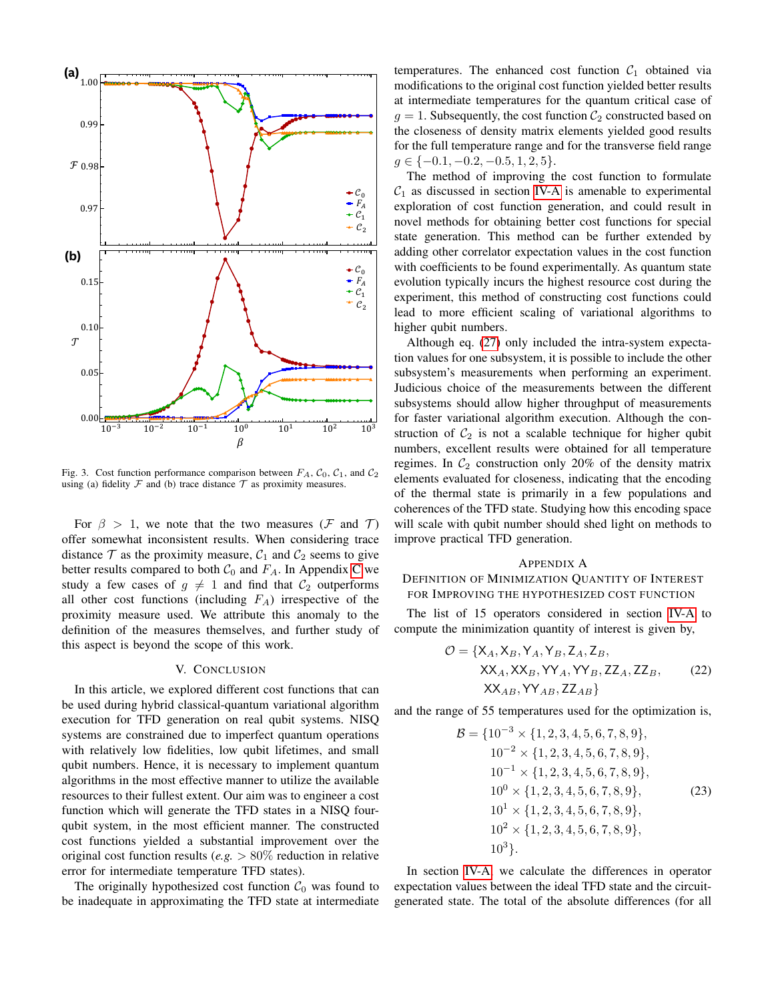

<span id="page-4-1"></span>Fig. 3. Cost function performance comparison between  $F_A$ ,  $C_0$ ,  $C_1$ , and  $C_2$ using (a) fidelity  $\mathcal F$  and (b) trace distance  $\mathcal T$  as proximity measures.

For  $\beta > 1$ , we note that the two measures (F and T) offer somewhat inconsistent results. When considering trace distance  $\mathcal T$  as the proximity measure,  $\mathcal C_1$  and  $\mathcal C_2$  seems to give better results compared to both  $C_0$  and  $F_A$ . In Appendix [C](#page-5-19) we study a few cases of  $g \neq 1$  and find that  $C_2$  outperforms all other cost functions (including  $F_A$ ) irrespective of the proximity measure used. We attribute this anomaly to the definition of the measures themselves, and further study of this aspect is beyond the scope of this work.

### V. CONCLUSION

In this article, we explored different cost functions that can be used during hybrid classical-quantum variational algorithm execution for TFD generation on real qubit systems. NISQ systems are constrained due to imperfect quantum operations with relatively low fidelities, low qubit lifetimes, and small qubit numbers. Hence, it is necessary to implement quantum algorithms in the most effective manner to utilize the available resources to their fullest extent. Our aim was to engineer a cost function which will generate the TFD states in a NISQ fourqubit system, in the most efficient manner. The constructed cost functions yielded a substantial improvement over the original cost function results (*e.g.* > 80% reduction in relative error for intermediate temperature TFD states).

The originally hypothesized cost function  $C_0$  was found to be inadequate in approximating the TFD state at intermediate temperatures. The enhanced cost function  $C_1$  obtained via modifications to the original cost function yielded better results at intermediate temperatures for the quantum critical case of  $g = 1$ . Subsequently, the cost function  $\mathcal{C}_2$  constructed based on the closeness of density matrix elements yielded good results for the full temperature range and for the transverse field range  $g \in \{-0.1, -0.2, -0.5, 1, 2, 5\}.$ 

The method of improving the cost function to formulate  $C_1$  as discussed in section [IV-A](#page-2-3) is amenable to experimental exploration of cost function generation, and could result in novel methods for obtaining better cost functions for special state generation. This method can be further extended by adding other correlator expectation values in the cost function with coefficients to be found experimentally. As quantum state evolution typically incurs the highest resource cost during the experiment, this method of constructing cost functions could lead to more efficient scaling of variational algorithms to higher qubit numbers.

Although eq. [\(27\)](#page-6-0) only included the intra-system expectation values for one subsystem, it is possible to include the other subsystem's measurements when performing an experiment. Judicious choice of the measurements between the different subsystems should allow higher throughput of measurements for faster variational algorithm execution. Although the construction of  $C_2$  is not a scalable technique for higher qubit numbers, excellent results were obtained for all temperature regimes. In  $C_2$  construction only 20% of the density matrix elements evaluated for closeness, indicating that the encoding of the thermal state is primarily in a few populations and coherences of the TFD state. Studying how this encoding space will scale with qubit number should shed light on methods to improve practical TFD generation.

# <span id="page-4-0"></span>APPENDIX A

# DEFINITION OF MINIMIZATION QUANTITY OF INTEREST FOR IMPROVING THE HYPOTHESIZED COST FUNCTION

The list of 15 operators considered in section [IV-A](#page-2-3) to compute the minimization quantity of interest is given by,

$$
\mathcal{O} = \{X_A, X_B, Y_A, Y_B, Z_A, Z_B,
$$
  
XX<sub>A</sub>, XX<sub>B</sub>, YY<sub>A</sub>, YY<sub>B</sub>, ZZ<sub>A</sub>, ZZ<sub>B</sub>, (22)  
XX<sub>AB</sub>, YY<sub>AB</sub>, ZZ<sub>AB</sub>}

and the range of 55 temperatures used for the optimization is,

$$
\mathcal{B} = \{10^{-3} \times \{1, 2, 3, 4, 5, 6, 7, 8, 9\},\
$$
  
\n
$$
10^{-2} \times \{1, 2, 3, 4, 5, 6, 7, 8, 9\},\
$$
  
\n
$$
10^{-1} \times \{1, 2, 3, 4, 5, 6, 7, 8, 9\},\
$$
  
\n
$$
10^{0} \times \{1, 2, 3, 4, 5, 6, 7, 8, 9\},\
$$
  
\n
$$
10^{1} \times \{1, 2, 3, 4, 5, 6, 7, 8, 9\},\
$$
  
\n
$$
10^{2} \times \{1, 2, 3, 4, 5, 6, 7, 8, 9\},\
$$
  
\n
$$
10^{3}\}.
$$
  
\n(23)

In section [IV-A,](#page-2-3) we calculate the differences in operator expectation values between the ideal TFD state and the circuitgenerated state. The total of the absolute differences (for all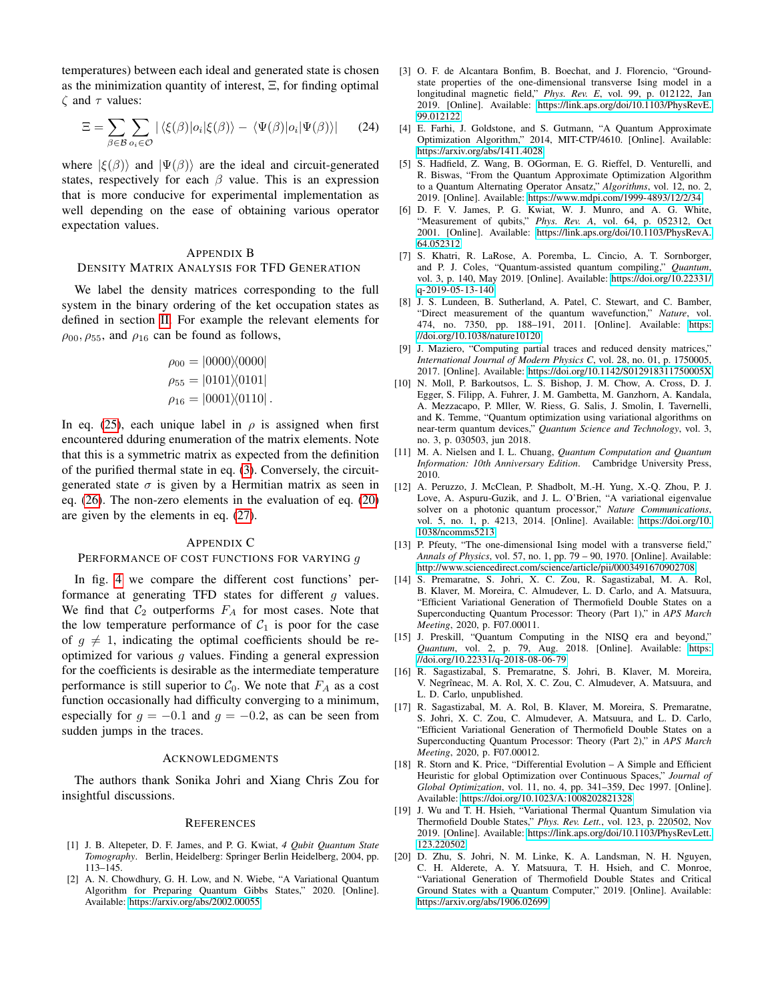temperatures) between each ideal and generated state is chosen as the minimization quantity of interest, Ξ, for finding optimal  $\zeta$  and  $\tau$  values:

$$
\Xi = \sum_{\beta \in \mathcal{B}} \sum_{o_i \in \mathcal{O}} |\langle \xi(\beta) | o_i | \xi(\beta) \rangle - \langle \Psi(\beta) | o_i | \Psi(\beta) \rangle| \tag{24}
$$

where  $|\xi(\beta)\rangle$  and  $|\Psi(\beta)\rangle$  are the ideal and circuit-generated states, respectively for each  $\beta$  value. This is an expression that is more conducive for experimental implementation as well depending on the ease of obtaining various operator expectation values.

#### <span id="page-5-21"></span>APPENDIX B

#### DENSITY MATRIX ANALYSIS FOR TFD GENERATION

We label the density matrices corresponding to the full system in the binary ordering of the ket occupation states as defined in section [II.](#page-0-1) For example the relevant elements for  $\rho_{00}, \rho_{55}$ , and  $\rho_{16}$  can be found as follows,

$$
\rho_{00} = |0000\rangle\langle0000|
$$
  
\n
$$
\rho_{55} = |0101\rangle\langle0101|
$$
  
\n
$$
\rho_{16} = |0001\rangle\langle0110|.
$$

In eq. [\(25\)](#page-6-1), each unique label in  $\rho$  is assigned when first encountered dduring enumeration of the matrix elements. Note that this is a symmetric matrix as expected from the definition of the purified thermal state in eq. [\(3\)](#page-1-5). Conversely, the circuitgenerated state  $\sigma$  is given by a Hermitian matrix as seen in eq. [\(26\)](#page-6-2). The non-zero elements in the evaluation of eq. [\(20\)](#page-3-2) are given by the elements in eq. [\(27\)](#page-6-0).

# <span id="page-5-19"></span>APPENDIX C

# PERFORMANCE OF COST FUNCTIONS FOR VARYING g

In fig. [4](#page-7-1) we compare the different cost functions' performance at generating TFD states for different  $g$  values. We find that  $C_2$  outperforms  $F_A$  for most cases. Note that the low temperature performance of  $C_1$  is poor for the case of  $g \neq 1$ , indicating the optimal coefficients should be reoptimized for various  $q$  values. Finding a general expression for the coefficients is desirable as the intermediate temperature performance is still superior to  $C_0$ . We note that  $F_A$  as a cost function occasionally had difficulty converging to a minimum, especially for  $g = -0.1$  and  $g = -0.2$ , as can be seen from sudden jumps in the traces.

# ACKNOWLEDGMENTS

The authors thank Sonika Johri and Xiang Chris Zou for insightful discussions.

#### **REFERENCES**

- <span id="page-5-12"></span>[1] J. B. Altepeter, D. F. James, and P. G. Kwiat, *4 Qubit Quantum State Tomography*. Berlin, Heidelberg: Springer Berlin Heidelberg, 2004, pp. 113–145.
- <span id="page-5-14"></span>[2] A. N. Chowdhury, G. H. Low, and N. Wiebe, "A Variational Quantum Algorithm for Preparing Quantum Gibbs States," 2020. [Online]. Available:<https://arxiv.org/abs/2002.00055>
- <span id="page-5-17"></span>[3] O. F. de Alcantara Bonfim, B. Boechat, and J. Florencio, "Groundstate properties of the one-dimensional transverse Ising model in a longitudinal magnetic field," *Phys. Rev. E*, vol. 99, p. 012122, Jan 2019. [Online]. Available: [https://link.aps.org/doi/10.1103/PhysRevE.](https://link.aps.org/doi/10.1103/PhysRevE.99.012122) [99.012122](https://link.aps.org/doi/10.1103/PhysRevE.99.012122)
- <span id="page-5-2"></span>[4] E. Farhi, J. Goldstone, and S. Gutmann, "A Quantum Approximate Optimization Algorithm," 2014, MIT-CTP/4610. [Online]. Available: <https://arxiv.org/abs/1411.4028>
- <span id="page-5-11"></span>[5] S. Hadfield, Z. Wang, B. OGorman, E. G. Rieffel, D. Venturelli, and R. Biswas, "From the Quantum Approximate Optimization Algorithm to a Quantum Alternating Operator Ansatz," *Algorithms*, vol. 12, no. 2, 2019. [Online]. Available:<https://www.mdpi.com/1999-4893/12/2/34>
- <span id="page-5-15"></span>[6] D. F. V. James, P. G. Kwiat, W. J. Munro, and A. G. White, "Measurement of qubits," *Phys. Rev. A*, vol. 64, p. 052312, Oct 2001. [Online]. Available: [https://link.aps.org/doi/10.1103/PhysRevA.](https://link.aps.org/doi/10.1103/PhysRevA.64.052312) [64.052312](https://link.aps.org/doi/10.1103/PhysRevA.64.052312)
- <span id="page-5-1"></span>[7] S. Khatri, R. LaRose, A. Poremba, L. Cincio, A. T. Sornborger, and P. J. Coles, "Quantum-assisted quantum compiling," *Quantum*, vol. 3, p. 140, May 2019. [Online]. Available: [https://doi.org/10.22331/](https://doi.org/10.22331/q-2019-05-13-140)  $q - 2019 - 05 - 13 - 140$
- <span id="page-5-13"></span>[8] J. S. Lundeen, B. Sutherland, A. Patel, C. Stewart, and C. Bamber, "Direct measurement of the quantum wavefunction," *Nature*, vol. 474, no. 7350, pp. 188–191, 2011. [Online]. Available: [https:](https://doi.org/10.1038/nature10120) [//doi.org/10.1038/nature10120](https://doi.org/10.1038/nature10120)
- <span id="page-5-5"></span>[9] J. Maziero, "Computing partial traces and reduced density matrices," *International Journal of Modern Physics C*, vol. 28, no. 01, p. 1750005, 2017. [Online]. Available:<https://doi.org/10.1142/S012918311750005X>
- <span id="page-5-3"></span>[10] N. Moll, P. Barkoutsos, L. S. Bishop, J. M. Chow, A. Cross, D. J. Egger, S. Filipp, A. Fuhrer, J. M. Gambetta, M. Ganzhorn, A. Kandala, A. Mezzacapo, P. Mller, W. Riess, G. Salis, J. Smolin, I. Tavernelli, and K. Temme, "Quantum optimization using variational algorithms on near-term quantum devices," *Quantum Science and Technology*, vol. 3, no. 3, p. 030503, jun 2018.
- <span id="page-5-6"></span>[11] M. A. Nielsen and I. L. Chuang, *Quantum Computation and Quantum Information: 10th Anniversary Edition*. Cambridge University Press, 2010.
- <span id="page-5-4"></span>[12] A. Peruzzo, J. McClean, P. Shadbolt, M.-H. Yung, X.-Q. Zhou, P. J. Love, A. Aspuru-Guzik, and J. L. O'Brien, "A variational eigenvalue solver on a photonic quantum processor," *Nature Communications*, vol. 5, no. 1, p. 4213, 2014. [Online]. Available: [https://doi.org/10.](https://doi.org/10.1038/ncomms5213) [1038/ncomms5213](https://doi.org/10.1038/ncomms5213)
- <span id="page-5-18"></span>[13] P. Pfeuty, "The one-dimensional Ising model with a transverse field," *Annals of Physics*, vol. 57, no. 1, pp. 79 – 90, 1970. [Online]. Available: <http://www.sciencedirect.com/science/article/pii/0003491670902708>
- <span id="page-5-16"></span>[14] S. Premaratne, S. Johri, X. C. Zou, R. Sagastizabal, M. A. Rol, B. Klaver, M. Moreira, C. Almudever, L. D. Carlo, and A. Matsuura, "Efficient Variational Generation of Thermofield Double States on a Superconducting Quantum Processor: Theory (Part 1)," in *APS March Meeting*, 2020, p. F07.00011.
- <span id="page-5-0"></span>[15] J. Preskill, "Quantum Computing in the NISQ era and beyond," *Quantum*, vol. 2, p. 79, Aug. 2018. [Online]. Available: [https:](https://doi.org/10.22331/q-2018-08-06-79) [//doi.org/10.22331/q-2018-08-06-79](https://doi.org/10.22331/q-2018-08-06-79)
- <span id="page-5-7"></span>[16] R. Sagastizabal, S. Premaratne, S. Johri, B. Klaver, M. Moreira, V. Negrîneac, M. A. Rol, X. C. Zou, C. Almudever, A. Matsuura, and L. D. Carlo, unpublished.
- <span id="page-5-8"></span>[17] R. Sagastizabal, M. A. Rol, B. Klaver, M. Moreira, S. Premaratne, S. Johri, X. C. Zou, C. Almudever, A. Matsuura, and L. D. Carlo, "Efficient Variational Generation of Thermofield Double States on a Superconducting Quantum Processor: Theory (Part 2)," in *APS March Meeting*, 2020, p. F07.00012.
- <span id="page-5-20"></span>[18] R. Storn and K. Price, "Differential Evolution – A Simple and Efficient Heuristic for global Optimization over Continuous Spaces," *Journal of Global Optimization*, vol. 11, no. 4, pp. 341–359, Dec 1997. [Online]. Available:<https://doi.org/10.1023/A:1008202821328>
- <span id="page-5-10"></span>[19] J. Wu and T. H. Hsieh, "Variational Thermal Quantum Simulation via Thermofield Double States," *Phys. Rev. Lett.*, vol. 123, p. 220502, Nov 2019. [Online]. Available: [https://link.aps.org/doi/10.1103/PhysRevLett.](https://link.aps.org/doi/10.1103/PhysRevLett.123.220502) [123.220502](https://link.aps.org/doi/10.1103/PhysRevLett.123.220502)
- <span id="page-5-9"></span>[20] D. Zhu, S. Johri, N. M. Linke, K. A. Landsman, N. H. Nguyen, C. H. Alderete, A. Y. Matsuura, T. H. Hsieh, and C. Monroe, "Variational Generation of Thermofield Double States and Critical Ground States with a Quantum Computer," 2019. [Online]. Available: <https://arxiv.org/abs/1906.02699>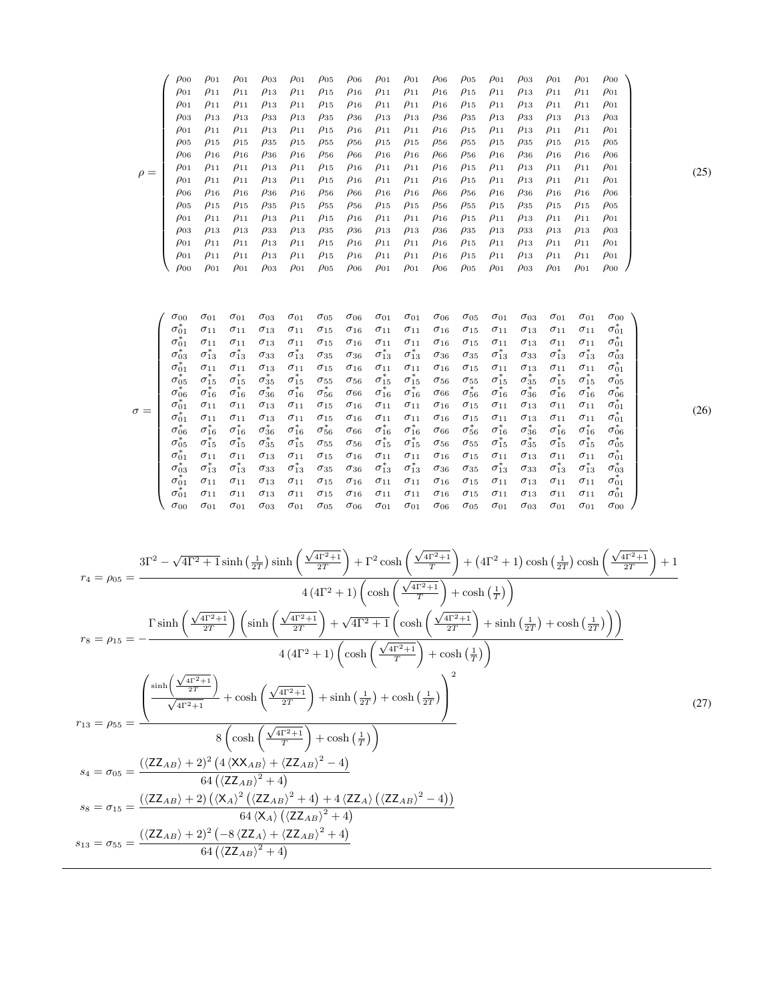$$
\rho = \begin{pmatrix}\n\rho_{00} & \rho_{01} & \rho_{01} & \rho_{03} & \rho_{01} & \rho_{05} & \rho_{06} & \rho_{01} & \rho_{01} & \rho_{06} & \rho_{05} & \rho_{01} & \rho_{03} & \rho_{01} & \rho_{01} & \rho_{00} \\
\rho_{01} & \rho_{11} & \rho_{11} & \rho_{13} & \rho_{11} & \rho_{15} & \rho_{16} & \rho_{11} & \rho_{11} & \rho_{16} & \rho_{15} & \rho_{11} & \rho_{13} & \rho_{11} & \rho_{11} & \rho_{01} \\
\rho_{03} & \rho_{13} & \rho_{13} & \rho_{33} & \rho_{13} & \rho_{35} & \rho_{36} & \rho_{13} & \rho_{13} & \rho_{36} & \rho_{35} & \rho_{13} & \rho_{33} & \rho_{13} & \rho_{13} & \rho_{03} \\
\rho_{01} & \rho_{11} & \rho_{11} & \rho_{13} & \rho_{11} & \rho_{15} & \rho_{16} & \rho_{11} & \rho_{11} & \rho_{16} & \rho_{15} & \rho_{11} & \rho_{13} & \rho_{11} & \rho_{11} & \rho_{01} \\
\rho_{05} & \rho_{15} & \rho_{15} & \rho_{35} & \rho_{15} & \rho_{55} & \rho_{56} & \rho_{15} & \rho_{15} & \rho_{56} & \rho_{55} & \rho_{15} & \rho_{35} & \rho_{15} & \rho_{15} & \rho_{05} \\
\rho_{06} & \rho_{16} & \rho_{16} & \rho_{36} & \rho_{16} & \rho_{56} & \rho_{66} & \rho_{16} & \rho_{66} & \rho_{56} & \rho_{16} & \rho_{36} & \rho_{16} & \rho_{16} & \rho_{06} \\
\rho_{01} & \rho_{11} & \rho_{11} & \rho_{13} & \rho_{11} & \rho_{15} & \rho_{16} & \rho_{11} & \rho_{11} & \rho_{16} & \rho_{15} & \rho_{11} & \
$$

$$
\sigma=\left(\begin{array}{cccccccccccccccc} \sigma_{00} & \sigma_{01} & \sigma_{01} & \sigma_{03} & \sigma_{01} & \sigma_{05} & \sigma_{06} & \sigma_{01} & \sigma_{01} & \sigma_{06} & \sigma_{05} & \sigma_{01} & \sigma_{03} & \sigma_{01} & \sigma_{01} & \sigma_{00} \\ \sigma_{01}^* & \sigma_{11} & \sigma_{11} & \sigma_{13} & \sigma_{11} & \sigma_{15} & \sigma_{16} & \sigma_{11} & \sigma_{11} & \sigma_{16} & \sigma_{15} & \sigma_{11} & \sigma_{13} & \sigma_{11} & \sigma_{11} & \sigma_{01} \\ \sigma_{01}^* & \sigma_{11}^* & \sigma_{12}^* & \sigma_{13}^* & \sigma_{33} & \sigma_{13}^* & \sigma_{35} & \sigma_{36} & \sigma_{13}^* & \sigma_{37}^* & \sigma_{38}^* & \sigma_{35}^* & \sigma_{13}^* & \sigma_{33} & \sigma_{13}^* & \sigma_{33} \\ \sigma_{01}^* & \sigma_{11} & \sigma_{11} & \sigma_{13} & \sigma_{11} & \sigma_{15} & \sigma_{16} & \sigma_{11} & \sigma_{11} & \sigma_{16} & \sigma_{15} & \sigma_{13} & \sigma_{33} & \sigma_{13}^* & \sigma_{33}^* \\ \sigma_{01}^* & \sigma_{11}^* & \sigma_{12}^* & \sigma_{15}^* & \sigma_{35}^* & \sigma_{15}^* & \sigma_{55} & \sigma_{56} & \sigma_{15}^* & \sigma_{56}^* & \sigma_{56} & \sigma_{55} & \sigma_{15}^* & \sigma_{35}^* & \sigma_{15}^* & \sigma_{35}^* \\ \sigma_{00}^* & \sigma_{16}^* & \sigma_{16}^* & \sigma_{36}^* & \sigma_{16}^* & \sigma_{36}^* & \sigma_{16}^* & \sigma_{36}^* & \sigma_{16}^* & \sigma_{16}^* & \sigma_{36}^* & \sigma_{16}^* & \sigma_{36}^* & \sigma_{16}^* & \sigma_{36}^* & \sigma_{1
$$

$$
r_{4} = \rho_{05} = \frac{3\Gamma^{2} - \sqrt{4\Gamma^{2} + 1} \sinh\left(\frac{1}{2T}\right) \sinh\left(\frac{\sqrt{4\Gamma^{2} + 1}}{2T}\right) + \Gamma^{2} \cosh\left(\frac{\sqrt{4\Gamma^{2} + 1}}{T}\right) + (4\Gamma^{2} + 1) \cosh\left(\frac{1}{2T}\right) \cosh\left(\frac{\sqrt{4\Gamma^{2} + 1}}{2T}\right) + 1}{4\left(4\Gamma^{2} + 1\right)\left(\cosh\left(\frac{\sqrt{4\Gamma^{2} + 1}}{T}\right) + \cosh\left(\frac{1}{T}\right)\right)}
$$
\n
$$
r_{8} = \rho_{15} = -\frac{\Gamma \sinh\left(\frac{\sqrt{4\Gamma^{2} + 1}}{2T}\right) \left(\sinh\left(\frac{\sqrt{4\Gamma^{2} + 1}}{2T}\right) + \sqrt{4\Gamma^{2} + 1} \left(\cosh\left(\frac{\sqrt{4\Gamma^{2} + 1}}{2T}\right) + \sinh\left(\frac{1}{2T}\right) + \cosh\left(\frac{1}{2T}\right)\right)\right)}{4\left(4\Gamma^{2} + 1\right)\left(\cosh\left(\frac{\sqrt{4\Gamma^{2} + 1}}{T}\right) + \cosh\left(\frac{1}{2T}\right)\right)}
$$
\n
$$
r_{13} = \rho_{55} = \frac{\left(\frac{\sinh\left(\frac{\sqrt{4\Gamma^{2} + 1}}{2T}\right)}{\sqrt{4\Gamma^{2} + 1}} + \cosh\left(\frac{\sqrt{4\Gamma^{2} + 1}}{2T}\right) + \sinh\left(\frac{1}{2T}\right) + \cosh\left(\frac{1}{2T}\right)\right)}{8\left(\cosh\left(\frac{\sqrt{4\Gamma^{2} + 1}}{2T}\right) + \cosh\left(\frac{1}{2}\right)\right)}
$$
\n
$$
s_{4} = \sigma_{05} = \frac{\left(\left\langle ZZ_{AB}\right\rangle + 2\right)^{2} \left(4\left\langle XAB\right\rangle + \left\langle ZZ_{AB}\right\rangle^{2} - 4\right)}{64\left(\left\langle ZZ_{AB}\right\rangle^{2} + 4\right)}
$$
\n
$$
s_{8} = \sigma_{15} = \frac{\left(\left\langle ZZ_{AB}\
$$

<span id="page-6-1"></span>(25)

<span id="page-6-2"></span><span id="page-6-0"></span>(26)